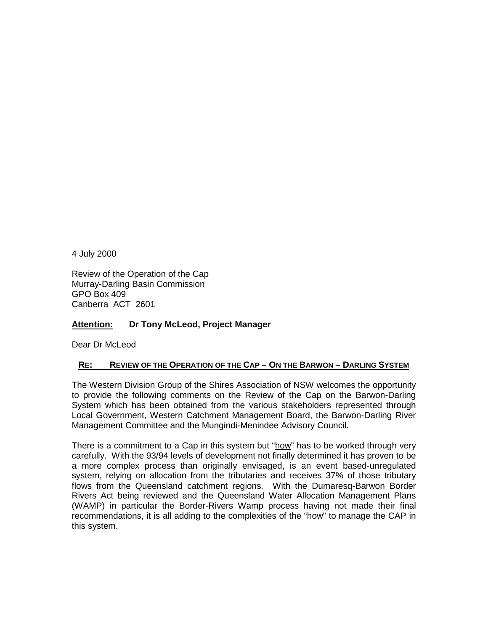4 July 2000

Review of the Operation of the Cap Murray-Darling Basin Commission GPO Box 409 Canberra ACT 2601

## **Attention: Dr Tony McLeod, Project Manager**

Dear Dr McLeod

## **RE: REVIEW OF THE OPERATION OF THE CAP – ON THE BARWON – DARLING SYSTEM**

The Western Division Group of the Shires Association of NSW welcomes the opportunity to provide the following comments on the Review of the Cap on the Barwon-Darling System which has been obtained from the various stakeholders represented through Local Government, Western Catchment Management Board, the Barwon-Darling River Management Committee and the Mungindi-Menindee Advisory Council.

There is a commitment to a Cap in this system but "how" has to be worked through very carefully. With the 93/94 levels of development not finally determined it has proven to be a more complex process than originally envisaged, is an event based-unregulated system, relying on allocation from the tributaries and receives 37% of those tributary flows from the Queensland catchment regions. With the Dumaresq-Barwon Border Rivers Act being reviewed and the Queensland Water Allocation Management Plans (WAMP) in particular the Border-Rivers Wamp process having not made their final recommendations, it is all adding to the complexities of the "how" to manage the CAP in this system.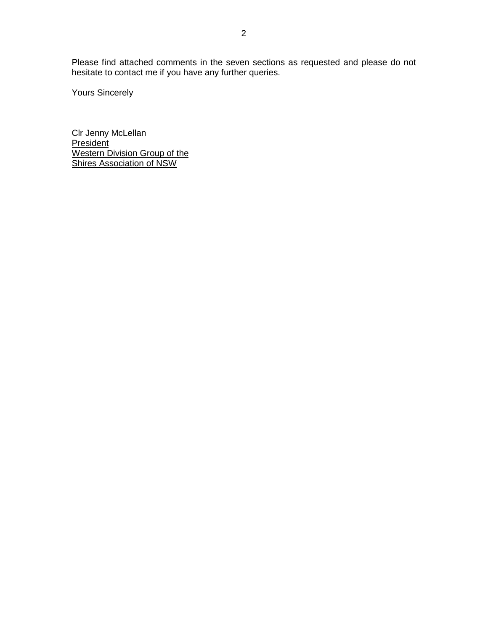Please find attached comments in the seven sections as requested and please do not hesitate to contact me if you have any further queries.

Yours Sincerely

Clr Jenny McLellan President Western Division Group of the Shires Association of NSW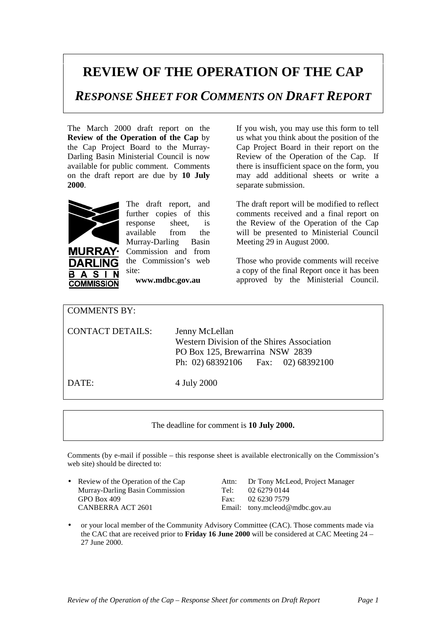## **REVIEW OF THE OPERATION OF THE CAP**

*RESPONSE SHEET FOR COMMENTS ON DRAFT REPORT*

The March 2000 draft report on the **Review of the Operation of the Cap** by the Cap Project Board to the Murray-Darling Basin Ministerial Council is now available for public comment. Comments on the draft report are due by **10 July 2000**.



**RRA** 

S **COMMISSION**  The draft report, and further copies of this response sheet, is available from the Murray-Darling Basin Commission and from the Commission's web site:

**www.mdbc.gov.au**

If you wish, you may use this form to tell us what you think about the position of the Cap Project Board in their report on the Review of the Operation of the Cap. If there is insufficient space on the form, you may add additional sheets or write a separate submission.

The draft report will be modified to reflect comments received and a final report on the Review of the Operation of the Cap will be presented to Ministerial Council Meeting 29 in August 2000.

Those who provide comments will receive a copy of the final Report once it has been approved by the Ministerial Council.

| <b>COMMENTS BY:</b>     |                                                                                                                                                  |
|-------------------------|--------------------------------------------------------------------------------------------------------------------------------------------------|
| <b>CONTACT DETAILS:</b> | Jenny McLellan<br><b>Western Division of the Shires Association</b><br>PO Box 125, Brewarrina NSW 2839<br>Ph: 02) $68392106$ Fax: 02) $68392100$ |
| DATE:                   | 4 July 2000                                                                                                                                      |

The deadline for comment is **10 July 2000.**

Comments (by e-mail if possible – this response sheet is available electronically on the Commission's web site) should be directed to:

- Murray-Darling Basin Commission Tel: 02 6279 0144 GPO Box 409 Fax: 02 6230 7579 CANBERRA ACT 2601 Email: tony.mcleod@mdbc.gov.au
	- Review of the Operation of the Cap Attn: Dr Tony McLeod, Project Manager
- or your local member of the Community Advisory Committee (CAC). Those comments made via the CAC that are received prior to **Friday 16 June 2000** will be considered at CAC Meeting 24 – 27 June 2000.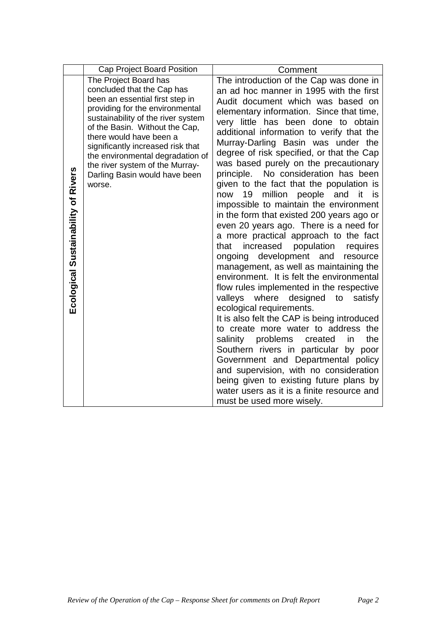|                                     | Cap Project Board Position                                                                                                                                                                                                                                                                                                                                                          | Comment                                                                                                                                                                                                                                                                                                                                                                                                                                                                                                                                                                                                                                                                                                                                                                                                                                                                                                                                                                                                                                                                                                                                                                                                                                                                                                                                                                                                |
|-------------------------------------|-------------------------------------------------------------------------------------------------------------------------------------------------------------------------------------------------------------------------------------------------------------------------------------------------------------------------------------------------------------------------------------|--------------------------------------------------------------------------------------------------------------------------------------------------------------------------------------------------------------------------------------------------------------------------------------------------------------------------------------------------------------------------------------------------------------------------------------------------------------------------------------------------------------------------------------------------------------------------------------------------------------------------------------------------------------------------------------------------------------------------------------------------------------------------------------------------------------------------------------------------------------------------------------------------------------------------------------------------------------------------------------------------------------------------------------------------------------------------------------------------------------------------------------------------------------------------------------------------------------------------------------------------------------------------------------------------------------------------------------------------------------------------------------------------------|
| Ecological Sustainability of Rivers | The Project Board has<br>concluded that the Cap has<br>been an essential first step in<br>providing for the environmental<br>sustainability of the river system<br>of the Basin. Without the Cap,<br>there would have been a<br>significantly increased risk that<br>the environmental degradation of<br>the river system of the Murray-<br>Darling Basin would have been<br>worse. | The introduction of the Cap was done in<br>an ad hoc manner in 1995 with the first<br>Audit document which was based on<br>elementary information. Since that time,<br>very little has been done to obtain<br>additional information to verify that the<br>Murray-Darling Basin was under the<br>degree of risk specified, or that the Cap<br>was based purely on the precautionary<br>No consideration has been<br>principle.<br>given to the fact that the population is<br>million<br>people<br>now<br>19<br>and<br>it<br>is i<br>impossible to maintain the environment<br>in the form that existed 200 years ago or<br>even 20 years ago. There is a need for<br>a more practical approach to the fact<br>increased<br>population<br>that<br>requires<br>ongoing development and<br>resource<br>management, as well as maintaining the<br>environment. It is felt the environmental<br>flow rules implemented in the respective<br>valleys<br>where<br>designed<br>to<br>satisfy<br>ecological requirements.<br>It is also felt the CAP is being introduced<br>to create more water to address the<br>problems<br>the<br>salinity<br>created<br>in<br>Southern rivers in particular by poor<br>Government and Departmental policy<br>and supervision, with no consideration<br>being given to existing future plans by<br>water users as it is a finite resource and<br>must be used more wisely. |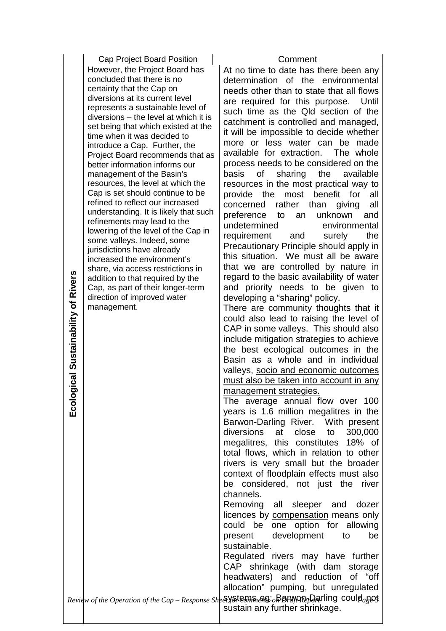|  | Cap Project Board Position                                     | Comment                                                                                            |
|--|----------------------------------------------------------------|----------------------------------------------------------------------------------------------------|
|  | However, the Project Board has                                 | At no time to date has there been any                                                              |
|  | concluded that there is no                                     | determination of the environmental                                                                 |
|  | certainty that the Cap on                                      | needs other than to state that all flows                                                           |
|  | diversions at its current level                                | are required for this purpose.<br>Until                                                            |
|  | represents a sustainable level of                              | such time as the Qld section of the                                                                |
|  | diversions – the level at which it is                          | catchment is controlled and managed,                                                               |
|  | set being that which existed at the                            | it will be impossible to decide whether                                                            |
|  | time when it was decided to                                    | more or less water can be made                                                                     |
|  | introduce a Cap. Further, the                                  | available for extraction. The whole                                                                |
|  | Project Board recommends that as                               | process needs to be considered on the                                                              |
|  | better information informs our                                 | basis<br>the<br>available                                                                          |
|  | management of the Basin's<br>resources, the level at which the | sharing<br>Οf                                                                                      |
|  | Cap is set should continue to be                               | resources in the most practical way to                                                             |
|  | refined to reflect our increased                               | provide the<br>most benefit<br>for<br>all                                                          |
|  | understanding. It is likely that such                          | rather<br>than<br>all<br>concerned<br>giving                                                       |
|  | refinements may lead to the                                    | preference<br>unknown<br>and<br>to<br>an                                                           |
|  | lowering of the level of the Cap in                            | undetermined<br>environmental                                                                      |
|  | some valleys. Indeed, some                                     | requirement<br>and<br>the<br>surely                                                                |
|  | jurisdictions have already                                     | Precautionary Principle should apply in                                                            |
|  | increased the environment's                                    | this situation. We must all be aware                                                               |
|  | share, via access restrictions in                              | that we are controlled by nature in                                                                |
|  | addition to that required by the                               | regard to the basic availability of water                                                          |
|  | Cap, as part of their longer-term                              | and priority needs to be given to                                                                  |
|  | direction of improved water                                    | developing a "sharing" policy.                                                                     |
|  | management.                                                    | There are community thoughts that it                                                               |
|  |                                                                | could also lead to raising the level of                                                            |
|  |                                                                | CAP in some valleys. This should also                                                              |
|  | Ecological Sustainability of Rivers                            | include mitigation strategies to achieve                                                           |
|  |                                                                | the best ecological outcomes in the                                                                |
|  |                                                                | Basin as a whole and in individual                                                                 |
|  |                                                                | valleys, socio and economic outcomes                                                               |
|  |                                                                | must also be taken into account in any                                                             |
|  |                                                                | management strategies.                                                                             |
|  |                                                                | The average annual flow over 100                                                                   |
|  |                                                                | years is 1.6 million megalitres in the                                                             |
|  |                                                                | Barwon-Darling River. With present                                                                 |
|  |                                                                | diversions at close<br>300,000<br>to                                                               |
|  |                                                                | megalitres, this constitutes 18% of                                                                |
|  |                                                                | total flows, which in relation to other                                                            |
|  |                                                                | rivers is very small but the broader                                                               |
|  |                                                                | context of floodplain effects must also                                                            |
|  |                                                                | be considered, not just the river                                                                  |
|  |                                                                | channels.                                                                                          |
|  |                                                                | Removing all sleeper and<br>dozer                                                                  |
|  |                                                                | licences by compensation means only                                                                |
|  |                                                                | could be one option for allowing                                                                   |
|  |                                                                | present development<br>be<br>to                                                                    |
|  |                                                                | sustainable.                                                                                       |
|  |                                                                | Regulated rivers may have further                                                                  |
|  |                                                                | CAP shrinkage (with dam storage                                                                    |
|  |                                                                | headwaters) and reduction of "off                                                                  |
|  |                                                                |                                                                                                    |
|  |                                                                | allocation" pumping, but unregulated                                                               |
|  |                                                                | Review of the Operation of the Cap - Response Sheely steems engineers. BBFN/PRED arling could apos |
|  |                                                                | sustain any further shrinkage.                                                                     |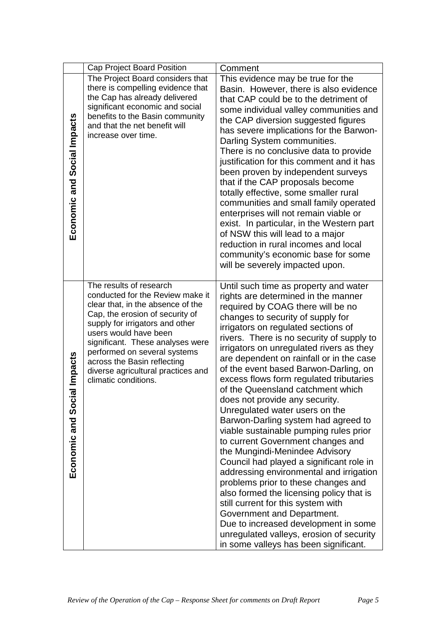|                                 | Cap Project Board Position                                                                                                                                                                                                                                                                                                                                       | Comment                                                                                                                                                                                                                                                                                                                                                                                                                                                                                                                                                                                                                                                                                                                                                                                                                                                                                                                                                                                                                                                            |
|---------------------------------|------------------------------------------------------------------------------------------------------------------------------------------------------------------------------------------------------------------------------------------------------------------------------------------------------------------------------------------------------------------|--------------------------------------------------------------------------------------------------------------------------------------------------------------------------------------------------------------------------------------------------------------------------------------------------------------------------------------------------------------------------------------------------------------------------------------------------------------------------------------------------------------------------------------------------------------------------------------------------------------------------------------------------------------------------------------------------------------------------------------------------------------------------------------------------------------------------------------------------------------------------------------------------------------------------------------------------------------------------------------------------------------------------------------------------------------------|
|                                 | The Project Board considers that                                                                                                                                                                                                                                                                                                                                 | This evidence may be true for the                                                                                                                                                                                                                                                                                                                                                                                                                                                                                                                                                                                                                                                                                                                                                                                                                                                                                                                                                                                                                                  |
| Economic and Social Impacts     | there is compelling evidence that<br>the Cap has already delivered<br>significant economic and social<br>benefits to the Basin community<br>and that the net benefit will<br>increase over time.                                                                                                                                                                 | Basin. However, there is also evidence<br>that CAP could be to the detriment of<br>some individual valley communities and<br>the CAP diversion suggested figures<br>has severe implications for the Barwon-<br>Darling System communities.<br>There is no conclusive data to provide<br>justification for this comment and it has<br>been proven by independent surveys<br>that if the CAP proposals become<br>totally effective, some smaller rural<br>communities and small family operated<br>enterprises will not remain viable or<br>exist. In particular, in the Western part<br>of NSW this will lead to a major<br>reduction in rural incomes and local                                                                                                                                                                                                                                                                                                                                                                                                    |
|                                 |                                                                                                                                                                                                                                                                                                                                                                  | community's economic base for some<br>will be severely impacted upon.                                                                                                                                                                                                                                                                                                                                                                                                                                                                                                                                                                                                                                                                                                                                                                                                                                                                                                                                                                                              |
| ial Impacts<br>Economic and Soc | The results of research<br>conducted for the Review make it<br>clear that, in the absence of the<br>Cap, the erosion of security of<br>supply for irrigators and other<br>users would have been<br>significant. These analyses were<br>performed on several systems<br>across the Basin reflecting<br>diverse agricultural practices and<br>climatic conditions. | Until such time as property and water<br>rights are determined in the manner<br>required by COAG there will be no<br>changes to security of supply for<br>irrigators on regulated sections of<br>rivers. There is no security of supply to<br>irrigators on unregulated rivers as they<br>are dependent on rainfall or in the case<br>of the event based Barwon-Darling, on<br>excess flows form regulated tributaries<br>of the Queensland catchment which<br>does not provide any security.<br>Unregulated water users on the<br>Barwon-Darling system had agreed to<br>viable sustainable pumping rules prior<br>to current Government changes and<br>the Mungindi-Menindee Advisory<br>Council had played a significant role in<br>addressing environmental and irrigation<br>problems prior to these changes and<br>also formed the licensing policy that is<br>still current for this system with<br>Government and Department.<br>Due to increased development in some<br>unregulated valleys, erosion of security<br>in some valleys has been significant. |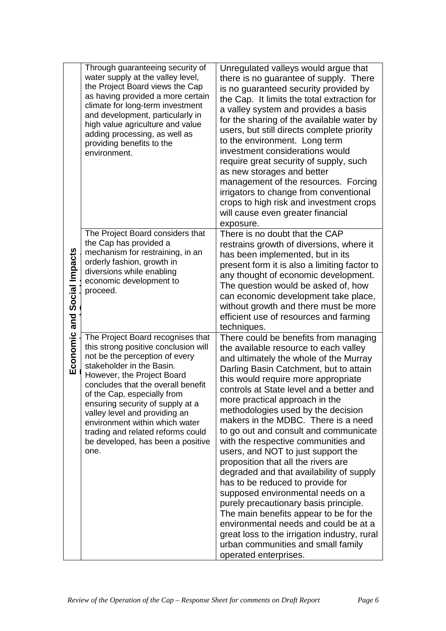|                             | Through guaranteeing security of<br>water supply at the valley level,<br>the Project Board views the Cap<br>as having provided a more certain<br>climate for long-term investment<br>and development, particularly in<br>high value agriculture and value<br>adding processing, as well as<br>providing benefits to the<br>environment.                                                                                              | Unregulated valleys would argue that<br>there is no guarantee of supply. There<br>is no guaranteed security provided by<br>the Cap. It limits the total extraction for<br>a valley system and provides a basis<br>for the sharing of the available water by<br>users, but still directs complete priority<br>to the environment. Long term<br>investment considerations would<br>require great security of supply, such<br>as new storages and better<br>management of the resources. Forcing<br>irrigators to change from conventional<br>crops to high risk and investment crops<br>will cause even greater financial<br>exposure.                                                                                                                                                                                                                                                              |
|-----------------------------|--------------------------------------------------------------------------------------------------------------------------------------------------------------------------------------------------------------------------------------------------------------------------------------------------------------------------------------------------------------------------------------------------------------------------------------|---------------------------------------------------------------------------------------------------------------------------------------------------------------------------------------------------------------------------------------------------------------------------------------------------------------------------------------------------------------------------------------------------------------------------------------------------------------------------------------------------------------------------------------------------------------------------------------------------------------------------------------------------------------------------------------------------------------------------------------------------------------------------------------------------------------------------------------------------------------------------------------------------|
| Economic and Social Impacts | The Project Board considers that<br>the Cap has provided a<br>mechanism for restraining, in an<br>orderly fashion, growth in<br>diversions while enabling<br>economic development to<br>proceed.                                                                                                                                                                                                                                     | There is no doubt that the CAP<br>restrains growth of diversions, where it<br>has been implemented, but in its<br>present form it is also a limiting factor to<br>any thought of economic development.<br>The question would be asked of, how<br>can economic development take place,<br>without growth and there must be more<br>efficient use of resources and farming<br>techniques.                                                                                                                                                                                                                                                                                                                                                                                                                                                                                                           |
|                             | The Project Board recognises that<br>this strong positive conclusion will<br>not be the perception of every<br>stakeholder in the Basin.<br>However, the Project Board<br>concludes that the overall benefit<br>of the Cap, especially from<br>ensuring security of supply at a<br>valley level and providing an<br>environment within which water<br>trading and related reforms could<br>be developed, has been a positive<br>one. | There could be benefits from managing<br>the available resource to each valley<br>and ultimately the whole of the Murray<br>Darling Basin Catchment, but to attain<br>this would require more appropriate<br>controls at State level and a better and<br>more practical approach in the<br>methodologies used by the decision<br>makers in the MDBC. There is a need<br>to go out and consult and communicate<br>with the respective communities and<br>users, and NOT to just support the<br>proposition that all the rivers are<br>degraded and that availability of supply<br>has to be reduced to provide for<br>supposed environmental needs on a<br>purely precautionary basis principle.<br>The main benefits appear to be for the<br>environmental needs and could be at a<br>great loss to the irrigation industry, rural<br>urban communities and small family<br>operated enterprises. |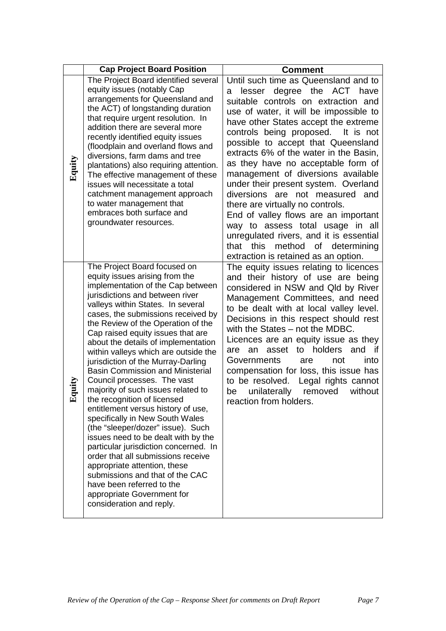|        | <b>Cap Project Board Position</b>                                                                                                                                                                                                                                                                                                                                                                                                                                                                                                                                                                                                                                                                                                                                                                                                                                                                                                                              | <b>Comment</b>                                                                                                                                                                                                                                                                                                                                                                                                                                                                                                                                                                                                                                                                                                         |
|--------|----------------------------------------------------------------------------------------------------------------------------------------------------------------------------------------------------------------------------------------------------------------------------------------------------------------------------------------------------------------------------------------------------------------------------------------------------------------------------------------------------------------------------------------------------------------------------------------------------------------------------------------------------------------------------------------------------------------------------------------------------------------------------------------------------------------------------------------------------------------------------------------------------------------------------------------------------------------|------------------------------------------------------------------------------------------------------------------------------------------------------------------------------------------------------------------------------------------------------------------------------------------------------------------------------------------------------------------------------------------------------------------------------------------------------------------------------------------------------------------------------------------------------------------------------------------------------------------------------------------------------------------------------------------------------------------------|
| Equity | The Project Board identified several<br>equity issues (notably Cap<br>arrangements for Queensland and<br>the ACT) of longstanding duration<br>that require urgent resolution. In<br>addition there are several more<br>recently identified equity issues<br>(floodplain and overland flows and<br>diversions, farm dams and tree<br>plantations) also requiring attention.<br>The effective management of these<br>issues will necessitate a total<br>catchment management approach<br>to water management that<br>embraces both surface and<br>groundwater resources.                                                                                                                                                                                                                                                                                                                                                                                         | Until such time as Queensland and to<br>degree the ACT have<br>lesser<br>a<br>suitable controls on extraction and<br>use of water, it will be impossible to<br>have other States accept the extreme<br>controls being proposed. It is not<br>possible to accept that Queensland<br>extracts 6% of the water in the Basin,<br>as they have no acceptable form of<br>management of diversions available<br>under their present system. Overland<br>diversions are not measured and<br>there are virtually no controls.<br>End of valley flows are an important<br>way to assess total usage in all<br>unregulated rivers, and it is essential<br>that this method of determining<br>extraction is retained as an option. |
| quity  | The Project Board focused on<br>equity issues arising from the<br>implementation of the Cap between<br>jurisdictions and between river<br>valleys within States. In several<br>cases, the submissions received by<br>the Review of the Operation of the<br>Cap raised equity issues that are<br>about the details of implementation<br>within valleys which are outside the<br>jurisdiction of the Murray-Darling<br><b>Basin Commission and Ministerial</b><br>Council processes. The vast<br>majority of such issues related to<br>the recognition of licensed<br>entitlement versus history of use,<br>specifically in New South Wales<br>(the "sleeper/dozer" issue). Such<br>issues need to be dealt with by the<br>particular jurisdiction concerned. In<br>order that all submissions receive<br>appropriate attention, these<br>submissions and that of the CAC<br>have been referred to the<br>appropriate Government for<br>consideration and reply. | The equity issues relating to licences<br>and their history of use are being<br>considered in NSW and Qld by River<br>Management Committees, and need<br>to be dealt with at local valley level.<br>Decisions in this respect should rest<br>with the States - not the MDBC.<br>Licences are an equity issue as they<br>asset to holders<br>and<br>if<br>an<br>are<br>into<br>Governments<br>are<br>not<br>compensation for loss, this issue has<br>to be resolved. Legal rights cannot<br>without<br>unilaterally removed<br>be<br>reaction from holders.                                                                                                                                                             |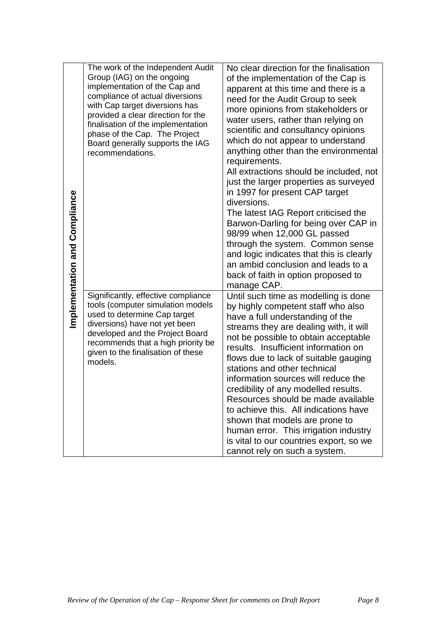| mplementation and Compliance | The work of the Independent Audit<br>Group (IAG) on the ongoing<br>implementation of the Cap and<br>compliance of actual diversions<br>with Cap target diversions has<br>provided a clear direction for the<br>finalisation of the implementation<br>phase of the Cap. The Project<br>Board generally supports the IAG<br>recommendations. | No clear direction for the finalisation<br>of the implementation of the Cap is<br>apparent at this time and there is a<br>need for the Audit Group to seek<br>more opinions from stakeholders or<br>water users, rather than relying on<br>scientific and consultancy opinions<br>which do not appear to understand<br>anything other than the environmental<br>requirements.<br>All extractions should be included, not<br>just the larger properties as surveyed<br>in 1997 for present CAP target<br>diversions.<br>The latest IAG Report criticised the<br>Barwon-Darling for being over CAP in<br>98/99 when 12,000 GL passed<br>through the system. Common sense<br>and logic indicates that this is clearly<br>an ambid conclusion and leads to a<br>back of faith in option proposed to |
|------------------------------|--------------------------------------------------------------------------------------------------------------------------------------------------------------------------------------------------------------------------------------------------------------------------------------------------------------------------------------------|-------------------------------------------------------------------------------------------------------------------------------------------------------------------------------------------------------------------------------------------------------------------------------------------------------------------------------------------------------------------------------------------------------------------------------------------------------------------------------------------------------------------------------------------------------------------------------------------------------------------------------------------------------------------------------------------------------------------------------------------------------------------------------------------------|
|                              | Significantly, effective compliance<br>tools (computer simulation models<br>used to determine Cap target<br>diversions) have not yet been<br>developed and the Project Board<br>recommends that a high priority be<br>given to the finalisation of these<br>models.                                                                        | manage CAP.<br>Until such time as modelling is done<br>by highly competent staff who also<br>have a full understanding of the<br>streams they are dealing with, it will<br>not be possible to obtain acceptable<br>results. Insufficient information on<br>flows due to lack of suitable gauging<br>stations and other technical<br>information sources will reduce the<br>credibility of any modelled results.<br>Resources should be made available<br>to achieve this. All indications have<br>shown that models are prone to<br>human error. This irrigation industry<br>is vital to our countries export, so we<br>cannot rely on such a system.                                                                                                                                           |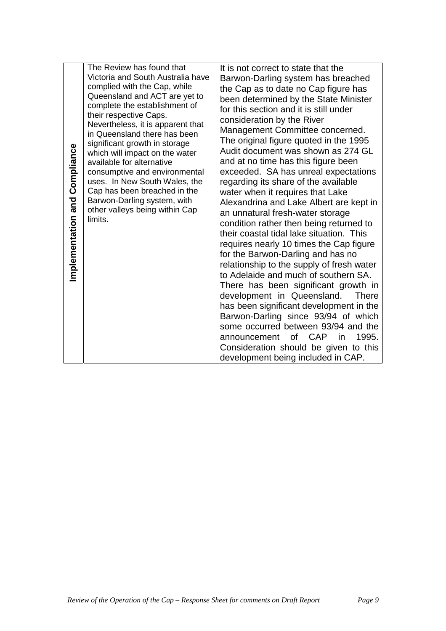| Implementation and Compliance | The Review has found that<br>Victoria and South Australia have<br>complied with the Cap, while<br>Queensland and ACT are yet to<br>complete the establishment of<br>their respective Caps.<br>Nevertheless, it is apparent that<br>in Queensland there has been<br>significant growth in storage<br>which will impact on the water<br>available for alternative<br>consumptive and environmental<br>uses. In New South Wales, the<br>Cap has been breached in the<br>Barwon-Darling system, with<br>other valleys being within Cap<br>limits. | It is not correct to state that the<br>Barwon-Darling system has breached<br>the Cap as to date no Cap figure has<br>been determined by the State Minister<br>for this section and it is still under<br>consideration by the River<br>Management Committee concerned.<br>The original figure quoted in the 1995<br>Audit document was shown as 274 GL<br>and at no time has this figure been<br>exceeded. SA has unreal expectations<br>regarding its share of the available<br>water when it requires that Lake<br>Alexandrina and Lake Albert are kept in<br>an unnatural fresh-water storage<br>condition rather then being returned to<br>their coastal tidal lake situation. This<br>requires nearly 10 times the Cap figure<br>for the Barwon-Darling and has no<br>relationship to the supply of fresh water<br>to Adelaide and much of southern SA.<br>There has been significant growth in<br>development in Queensland.<br><b>There</b><br>has been significant development in the<br>Barwon-Darling since 93/94 of which<br>some occurred between 93/94 and the<br><b>CAP</b><br>of<br>1995.<br>announcement<br>in<br>Consideration should be given to this<br>development being included in CAP. |  |
|-------------------------------|-----------------------------------------------------------------------------------------------------------------------------------------------------------------------------------------------------------------------------------------------------------------------------------------------------------------------------------------------------------------------------------------------------------------------------------------------------------------------------------------------------------------------------------------------|--------------------------------------------------------------------------------------------------------------------------------------------------------------------------------------------------------------------------------------------------------------------------------------------------------------------------------------------------------------------------------------------------------------------------------------------------------------------------------------------------------------------------------------------------------------------------------------------------------------------------------------------------------------------------------------------------------------------------------------------------------------------------------------------------------------------------------------------------------------------------------------------------------------------------------------------------------------------------------------------------------------------------------------------------------------------------------------------------------------------------------------------------------------------------------------------------------------|--|
|                               |                                                                                                                                                                                                                                                                                                                                                                                                                                                                                                                                               |                                                                                                                                                                                                                                                                                                                                                                                                                                                                                                                                                                                                                                                                                                                                                                                                                                                                                                                                                                                                                                                                                                                                                                                                              |  |
|                               | Review of the Operation of the Cap - Response Sheet for comments on Draft Report<br>Page 9                                                                                                                                                                                                                                                                                                                                                                                                                                                    |                                                                                                                                                                                                                                                                                                                                                                                                                                                                                                                                                                                                                                                                                                                                                                                                                                                                                                                                                                                                                                                                                                                                                                                                              |  |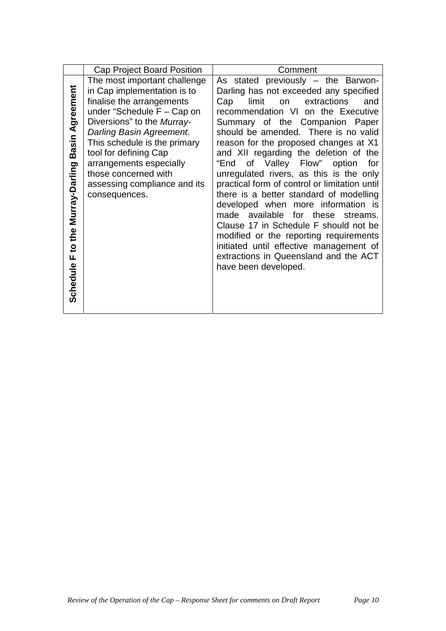|                                                     | Cap Project Board Position                                                                                                                                                                                                                                                                                                                      | Comment                                                                                                                                                                                                                                                                                                                                                                                                                                                                                                                                                                                                                                                                                                                                                                                 |
|-----------------------------------------------------|-------------------------------------------------------------------------------------------------------------------------------------------------------------------------------------------------------------------------------------------------------------------------------------------------------------------------------------------------|-----------------------------------------------------------------------------------------------------------------------------------------------------------------------------------------------------------------------------------------------------------------------------------------------------------------------------------------------------------------------------------------------------------------------------------------------------------------------------------------------------------------------------------------------------------------------------------------------------------------------------------------------------------------------------------------------------------------------------------------------------------------------------------------|
| Basin Agreement<br>Schedule F to the Murray-Darling | The most important challenge<br>in Cap implementation is to<br>finalise the arrangements<br>under "Schedule $F - Cap$ on<br>Diversions" to the Murray-<br>Darling Basin Agreement.<br>This schedule is the primary<br>tool for defining Cap<br>arrangements especially<br>those concerned with<br>assessing compliance and its<br>consequences. | As stated previously - the Barwon-<br>Darling has not exceeded any specified<br>limit<br>extractions<br>Cap<br>and<br>on<br>recommendation VI on the Executive<br>Summary of the Companion Paper<br>should be amended. There is no valid<br>reason for the proposed changes at X1<br>and XII regarding the deletion of the<br>of Valley Flow" option<br>"End<br>for<br>unregulated rivers, as this is the only<br>practical form of control or limitation until<br>there is a better standard of modelling<br>developed when more information is<br>made available for these<br>streams.<br>Clause 17 in Schedule F should not be<br>modified or the reporting requirements<br>initiated until effective management of<br>extractions in Queensland and the ACT<br>have been developed. |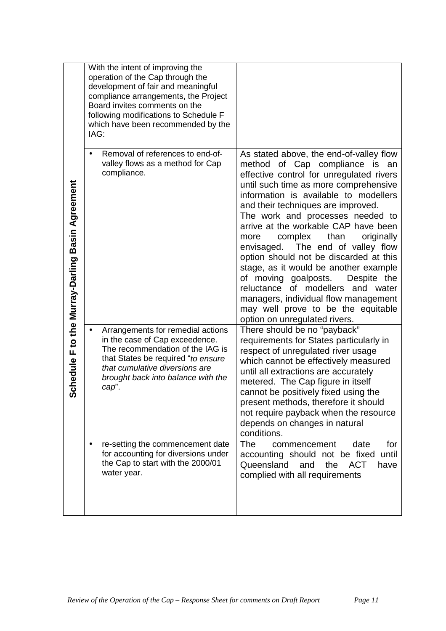|                                                  | With the intent of improving the<br>operation of the Cap through the<br>development of fair and meaningful<br>compliance arrangements, the Project<br>Board invites comments on the<br>following modifications to Schedule F<br>which have been recommended by the<br>IAG: |                                                                                                                                                                                                                                                                                                                                                                                                                                                                                                                                                                                                                                                                                       |
|--------------------------------------------------|----------------------------------------------------------------------------------------------------------------------------------------------------------------------------------------------------------------------------------------------------------------------------|---------------------------------------------------------------------------------------------------------------------------------------------------------------------------------------------------------------------------------------------------------------------------------------------------------------------------------------------------------------------------------------------------------------------------------------------------------------------------------------------------------------------------------------------------------------------------------------------------------------------------------------------------------------------------------------|
| Schedule F to the Murray-Darling Basin Agreement | Removal of references to end-of-<br>$\bullet$<br>valley flows as a method for Cap<br>compliance.                                                                                                                                                                           | As stated above, the end-of-valley flow<br>method of Cap compliance is an<br>effective control for unregulated rivers<br>until such time as more comprehensive<br>information is available to modellers<br>and their techniques are improved.<br>The work and processes needed to<br>arrive at the workable CAP have been<br>than<br>complex<br>originally<br>more<br>envisaged. The end of valley flow<br>option should not be discarded at this<br>stage, as it would be another example<br>of moving goalposts.<br>Despite the<br>reluctance of modellers and water<br>managers, individual flow management<br>may well prove to be the equitable<br>option on unregulated rivers. |
|                                                  | Arrangements for remedial actions<br>٠<br>in the case of Cap exceedence.<br>The recommendation of the IAG is<br>that States be required "to ensure<br>that cumulative diversions are<br>brought back into balance with the<br>cap".                                        | There should be no "payback"<br>requirements for States particularly in<br>respect of unregulated river usage<br>which cannot be effectively measured<br>until all extractions are accurately<br>metered. The Cap figure in itself<br>cannot be positively fixed using the<br>present methods, therefore it should<br>not require payback when the resource<br>depends on changes in natural<br>conditions.                                                                                                                                                                                                                                                                           |
|                                                  | re-setting the commencement date<br>$\bullet$<br>for accounting for diversions under<br>the Cap to start with the 2000/01<br>water year.                                                                                                                                   | <b>The</b><br>date<br>for<br>commencement<br>accounting should not be fixed<br>until<br>Queensland<br>the<br>and<br><b>ACT</b><br>have<br>complied with all requirements                                                                                                                                                                                                                                                                                                                                                                                                                                                                                                              |